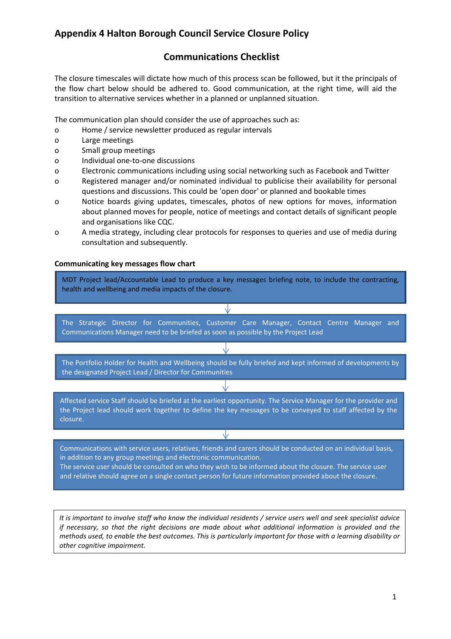## Appendix 4 Halton Borough Council Service Closure Policy

## Communications Checklist

The closure timescales will dictate how much of this process scan be followed, but it the principals of the flow chart below should be adhered to. Good communication, at the right time, will aid the transition to alternative services whether in a planned or unplanned situation.

The communication plan should consider the use of approaches such as:

- o Home / service newsletter produced as regular intervals
- o Large meetings
- o Small group meetings
- o Individual one-to-one discussions
- o Electronic communications including using social networking such as Facebook and Twitter
- o Registered manager and/or nominated individual to publicise their availability for personal questions and discussions. This could be 'open door' or planned and bookable times
- o Notice boards giving updates, timescales, photos of new options for moves, information about planned moves for people, notice of meetings and contact details of significant people and organisations like CQC.
- o A media strategy, including clear protocols for responses to queries and use of media during consultation and subsequently.

#### Communicating key messages flow chart



It is important to involve staff who know the individual residents / service users well and seek specialist advice if necessary, so that the right decisions are made about what additional information is provided and the methods used, to enable the best outcomes. This is particularly important for those with a learning disability or other cognitive impairment.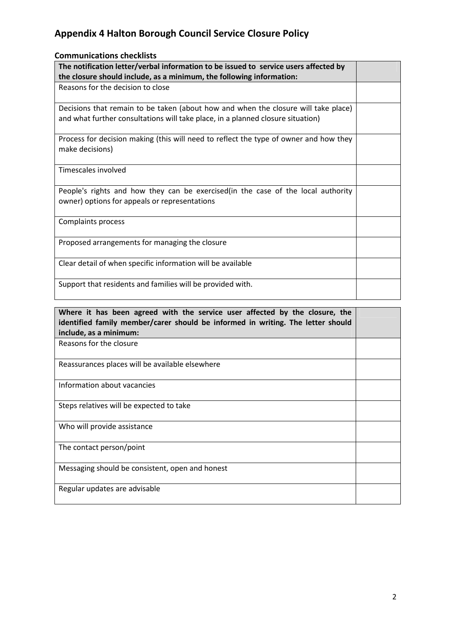# Appendix 4 Halton Borough Council Service Closure Policy

## Communications checklists

| The notification letter/verbal information to be issued to service users affected by<br>the closure should include, as a minimum, the following information:          |  |
|-----------------------------------------------------------------------------------------------------------------------------------------------------------------------|--|
| Reasons for the decision to close                                                                                                                                     |  |
| Decisions that remain to be taken (about how and when the closure will take place)<br>and what further consultations will take place, in a planned closure situation) |  |
| Process for decision making (this will need to reflect the type of owner and how they<br>make decisions)                                                              |  |
| Timescales involved                                                                                                                                                   |  |
| People's rights and how they can be exercised (in the case of the local authority<br>owner) options for appeals or representations                                    |  |
| Complaints process                                                                                                                                                    |  |
| Proposed arrangements for managing the closure                                                                                                                        |  |
| Clear detail of when specific information will be available                                                                                                           |  |
| Support that residents and families will be provided with.                                                                                                            |  |

| Where it has been agreed with the service user affected by the closure, the<br>identified family member/carer should be informed in writing. The letter should<br>include, as a minimum: |  |
|------------------------------------------------------------------------------------------------------------------------------------------------------------------------------------------|--|
| Reasons for the closure                                                                                                                                                                  |  |
| Reassurances places will be available elsewhere                                                                                                                                          |  |
| Information about vacancies                                                                                                                                                              |  |
| Steps relatives will be expected to take                                                                                                                                                 |  |
| Who will provide assistance                                                                                                                                                              |  |
| The contact person/point                                                                                                                                                                 |  |
| Messaging should be consistent, open and honest                                                                                                                                          |  |
| Regular updates are advisable                                                                                                                                                            |  |